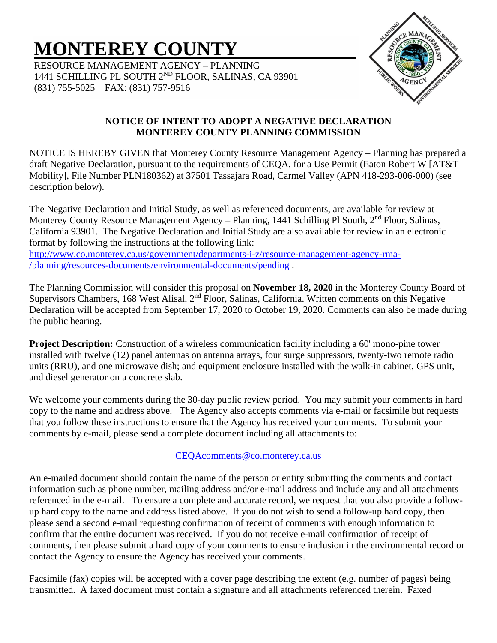# **MONTEREY COUNTY**

RESOURCE MANAGEMENT AGENCY – PLANNING 1441 SCHILLING PL SOUTH 2<sup>ND</sup> FLOOR, SALINAS, CA 93901 (831) 755-5025 FAX: (831) 757-9516



## **NOTICE OF INTENT TO ADOPT A NEGATIVE DECLARATION MONTEREY COUNTY PLANNING COMMISSION**

NOTICE IS HEREBY GIVEN that Monterey County Resource Management Agency – Planning has prepared a draft Negative Declaration, pursuant to the requirements of CEQA, for a Use Permit (Eaton Robert W [AT&T Mobility], File Number PLN180362) at 37501 Tassajara Road, Carmel Valley (APN 418-293-006-000) (see description below).

The Negative Declaration and Initial Study, as well as referenced documents, are available for review at Monterey County Resource Management Agency – Planning, 1441 Schilling Pl South, 2<sup>nd</sup> Floor, Salinas, California 93901. The Negative Declaration and Initial Study are also available for review in an electronic format by following the instructions at the following link: [http://www.co.monterey.ca.us/government/departments-i-z/resource-management-agency-rma-](http://www.co.monterey.ca.us/government/departments-i-z/resource-management-agency-rma-/planning/resources-documents/environmental-documents/pending) [/planning/resources-documents/environmental-documents/pending](http://www.co.monterey.ca.us/government/departments-i-z/resource-management-agency-rma-/planning/resources-documents/environmental-documents/pending) .

The Planning Commission will consider this proposal on **November 18, 2020** in the Monterey County Board of Supervisors Chambers, 168 West Alisal, 2<sup>nd</sup> Floor, Salinas, California. Written comments on this Negative Declaration will be accepted from September 17, 2020 to October 19, 2020. Comments can also be made during the public hearing.

**Project Description:** Construction of a wireless communication facility including a 60' mono-pine tower installed with twelve (12) panel antennas on antenna arrays, four surge suppressors, twenty-two remote radio units (RRU), and one microwave dish; and equipment enclosure installed with the walk-in cabinet, GPS unit, and diesel generator on a concrete slab.

We welcome your comments during the 30-day public review period. You may submit your comments in hard copy to the name and address above. The Agency also accepts comments via e-mail or facsimile but requests that you follow these instructions to ensure that the Agency has received your comments. To submit your comments by e-mail, please send a complete document including all attachments to:

## [CEQAcomments@co.monterey.ca.us](mailto:CEQAcomments@co.monterey.ca.us)

An e-mailed document should contain the name of the person or entity submitting the comments and contact information such as phone number, mailing address and/or e-mail address and include any and all attachments referenced in the e-mail. To ensure a complete and accurate record, we request that you also provide a followup hard copy to the name and address listed above. If you do not wish to send a follow-up hard copy, then please send a second e-mail requesting confirmation of receipt of comments with enough information to confirm that the entire document was received. If you do not receive e-mail confirmation of receipt of comments, then please submit a hard copy of your comments to ensure inclusion in the environmental record or contact the Agency to ensure the Agency has received your comments.

Facsimile (fax) copies will be accepted with a cover page describing the extent (e.g. number of pages) being transmitted. A faxed document must contain a signature and all attachments referenced therein. Faxed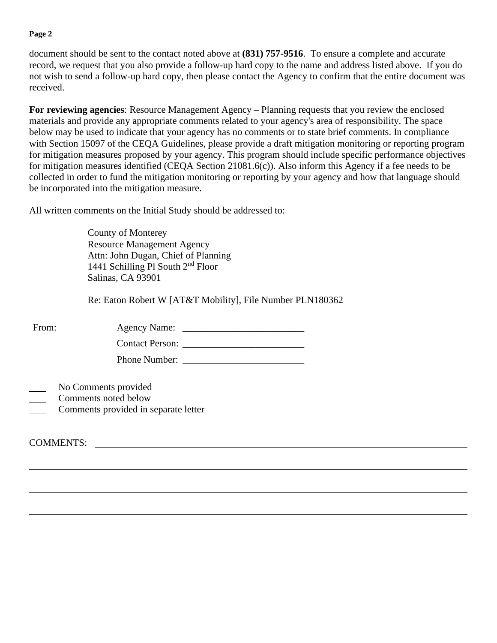#### **Page 2**

document should be sent to the contact noted above at **(831) 757-9516**. To ensure a complete and accurate record, we request that you also provide a follow-up hard copy to the name and address listed above. If you do not wish to send a follow-up hard copy, then please contact the Agency to confirm that the entire document was received.

**For reviewing agencies**: Resource Management Agency – Planning requests that you review the enclosed materials and provide any appropriate comments related to your agency's area of responsibility. The space below may be used to indicate that your agency has no comments or to state brief comments. In compliance with Section 15097 of the CEQA Guidelines, please provide a draft mitigation monitoring or reporting program for mitigation measures proposed by your agency. This program should include specific performance objectives for mitigation measures identified (CEQA Section 21081.6(c)). Also inform this Agency if a fee needs to be collected in order to fund the mitigation monitoring or reporting by your agency and how that language should be incorporated into the mitigation measure.

All written comments on the Initial Study should be addressed to:

County of Monterey Resource Management Agency Attn: John Dugan, Chief of Planning 1441 Schilling Pl South 2nd Floor Salinas, CA 93901

Re: Eaton Robert W [AT&T Mobility], File Number PLN180362

| From:            |                                                                                      |  |
|------------------|--------------------------------------------------------------------------------------|--|
|                  |                                                                                      |  |
|                  | Phone Number:                                                                        |  |
|                  | No Comments provided<br>Comments noted below<br>Comments provided in separate letter |  |
| <b>COMMENTS:</b> |                                                                                      |  |
|                  |                                                                                      |  |
|                  |                                                                                      |  |